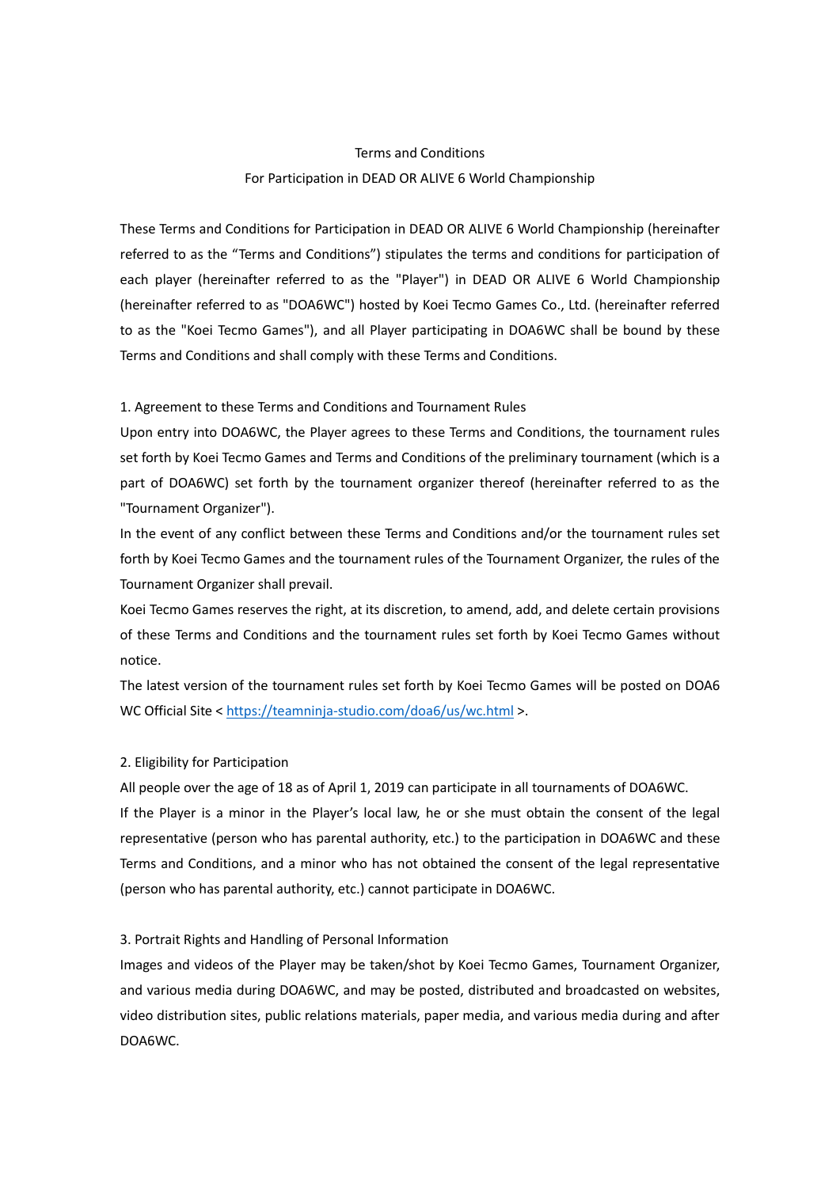# Terms and Conditions For Participation in DEAD OR ALIVE 6 World Championship

These Terms and Conditions for Participation in DEAD OR ALIVE 6 World Championship (hereinafter referred to as the "Terms and Conditions") stipulates the terms and conditions for participation of each player (hereinafter referred to as the "Player") in DEAD OR ALIVE 6 World Championship (hereinafter referred to as "DOA6WC") hosted by Koei Tecmo Games Co., Ltd. (hereinafter referred to as the "Koei Tecmo Games"), and all Player participating in DOA6WC shall be bound by these Terms and Conditions and shall comply with these Terms and Conditions.

#### 1. Agreement to these Terms and Conditions and Tournament Rules

Upon entry into DOA6WC, the Player agrees to these Terms and Conditions, the tournament rules set forth by Koei Tecmo Games and Terms and Conditions of the preliminary tournament (which is a part of DOA6WC) set forth by the tournament organizer thereof (hereinafter referred to as the "Tournament Organizer").

In the event of any conflict between these Terms and Conditions and/or the tournament rules set forth by Koei Tecmo Games and the tournament rules of the Tournament Organizer, the rules of the Tournament Organizer shall prevail.

Koei Tecmo Games reserves the right, at its discretion, to amend, add, and delete certain provisions of these Terms and Conditions and the tournament rules set forth by Koei Tecmo Games without notice.

The latest version of the tournament rules set forth by Koei Tecmo Games will be posted on DOA6 WC Official Site [< https://teamninja-studio.com/doa6/us/wc.html](https://teamninja-studio.com/doa6/us/wc.html) >.

## 2. Eligibility for Participation

All people over the age of 18 as of April 1, 2019 can participate in all tournaments of DOA6WC.

If the Player is a minor in the Player's local law, he or she must obtain the consent of the legal representative (person who has parental authority, etc.) to the participation in DOA6WC and these Terms and Conditions, and a minor who has not obtained the consent of the legal representative (person who has parental authority, etc.) cannot participate in DOA6WC.

#### 3. Portrait Rights and Handling of Personal Information

Images and videos of the Player may be taken/shot by Koei Tecmo Games, Tournament Organizer, and various media during DOA6WC, and may be posted, distributed and broadcasted on websites, video distribution sites, public relations materials, paper media, and various media during and after DOA6WC.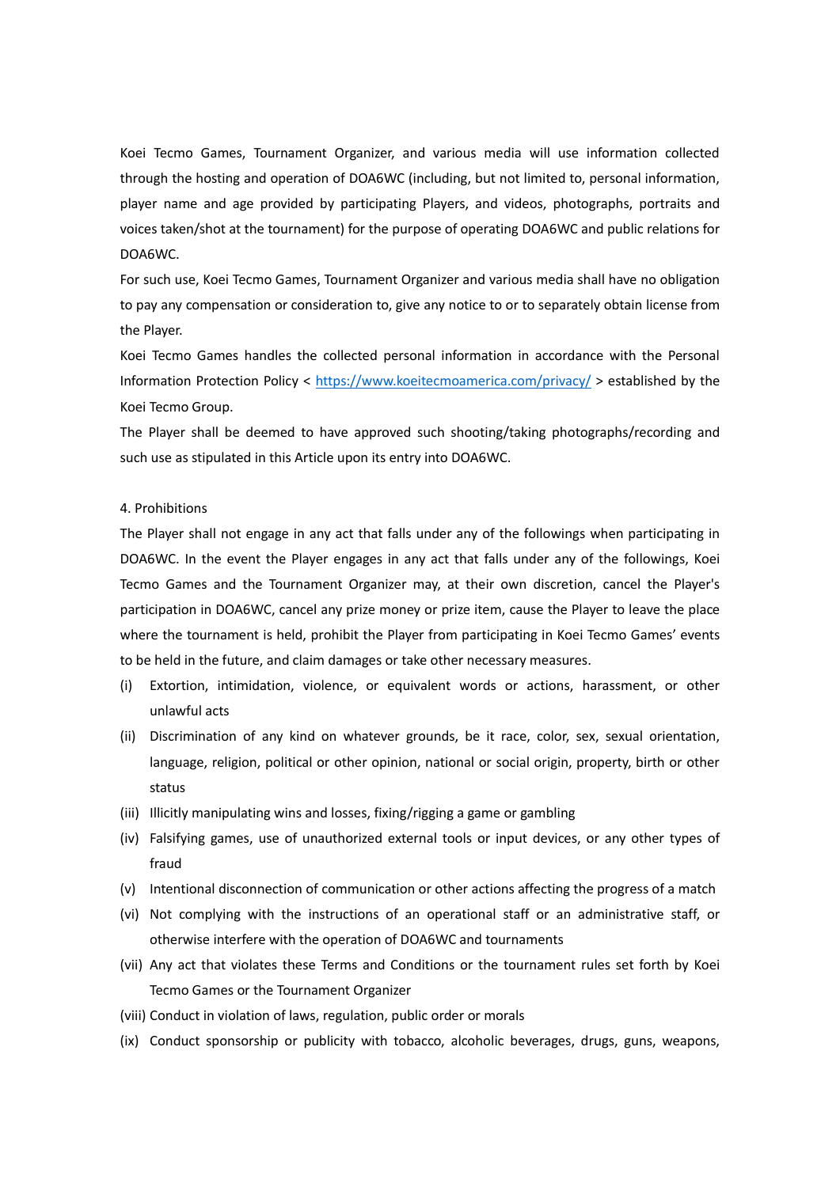Koei Tecmo Games, Tournament Organizer, and various media will use information collected through the hosting and operation of DOA6WC (including, but not limited to, personal information, player name and age provided by participating Players, and videos, photographs, portraits and voices taken/shot at the tournament) for the purpose of operating DOA6WC and public relations for DOA6WC.

For such use, Koei Tecmo Games, Tournament Organizer and various media shall have no obligation to pay any compensation or consideration to, give any notice to or to separately obtain license from the Player.

Koei Tecmo Games handles the collected personal information in accordance with the Personal Information Protection Policy <<https://www.koeitecmoamerica.com/privacy/> > established by the Koei Tecmo Group.

The Player shall be deemed to have approved such shooting/taking photographs/recording and such use as stipulated in this Article upon its entry into DOA6WC.

#### 4. Prohibitions

The Player shall not engage in any act that falls under any of the followings when participating in DOA6WC. In the event the Player engages in any act that falls under any of the followings, Koei Tecmo Games and the Tournament Organizer may, at their own discretion, cancel the Player's participation in DOA6WC, cancel any prize money or prize item, cause the Player to leave the place where the tournament is held, prohibit the Player from participating in Koei Tecmo Games' events to be held in the future, and claim damages or take other necessary measures.

- (i) Extortion, intimidation, violence, or equivalent words or actions, harassment, or other unlawful acts
- (ii) Discrimination of any kind on whatever grounds, be it race, color, sex, sexual orientation, language, religion, political or other opinion, national or social origin, property, birth or other status
- (iii) Illicitly manipulating wins and losses, fixing/rigging a game or gambling
- (iv) Falsifying games, use of unauthorized external tools or input devices, or any other types of fraud
- (v) Intentional disconnection of communication or other actions affecting the progress of a match
- (vi) Not complying with the instructions of an operational staff or an administrative staff, or otherwise interfere with the operation of DOA6WC and tournaments
- (vii) Any act that violates these Terms and Conditions or the tournament rules set forth by Koei Tecmo Games or the Tournament Organizer
- (viii) Conduct in violation of laws, regulation, public order or morals
- (ix) Conduct sponsorship or publicity with tobacco, alcoholic beverages, drugs, guns, weapons,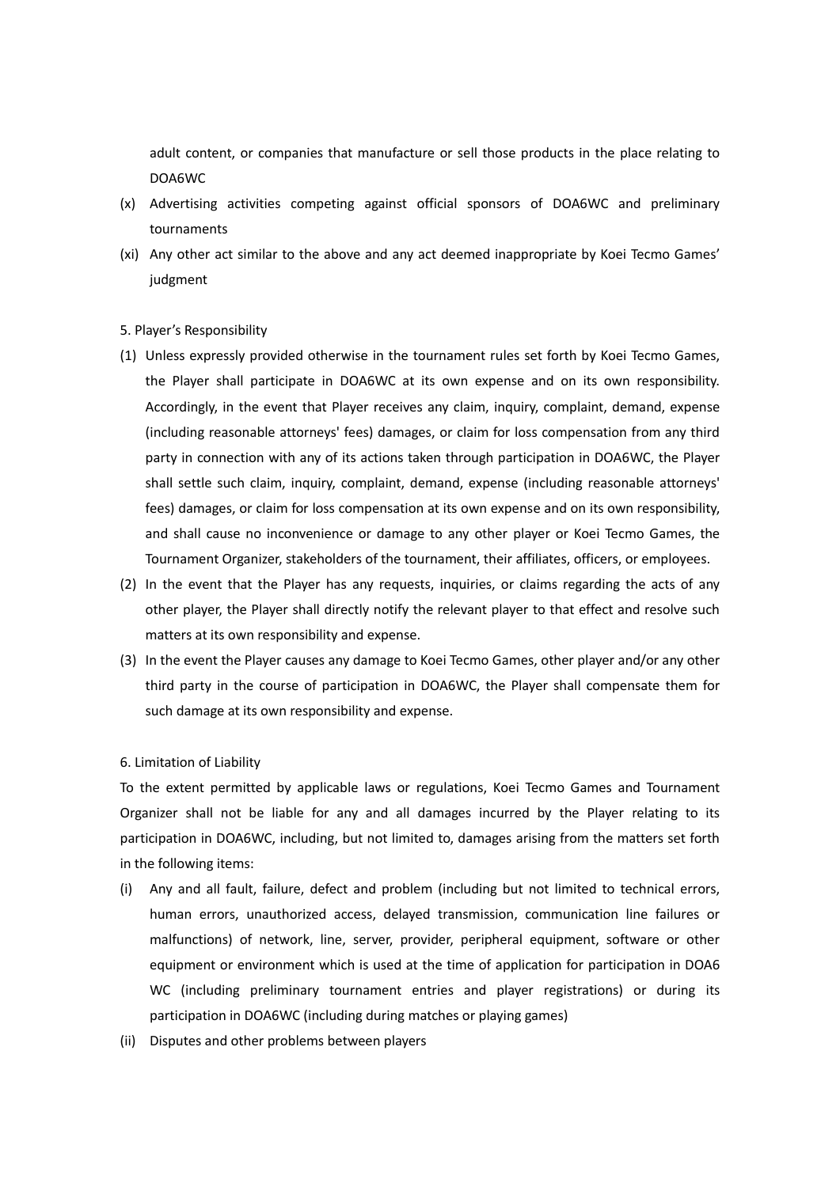adult content, or companies that manufacture or sell those products in the place relating to DOA6WC

- (x) Advertising activities competing against official sponsors of DOA6WC and preliminary tournaments
- (xi) Any other act similar to the above and any act deemed inappropriate by Koei Tecmo Games' judgment

#### 5. Player's Responsibility

- (1) Unless expressly provided otherwise in the tournament rules set forth by Koei Tecmo Games, the Player shall participate in DOA6WC at its own expense and on its own responsibility. Accordingly, in the event that Player receives any claim, inquiry, complaint, demand, expense (including reasonable attorneys' fees) damages, or claim for loss compensation from any third party in connection with any of its actions taken through participation in DOA6WC, the Player shall settle such claim, inquiry, complaint, demand, expense (including reasonable attorneys' fees) damages, or claim for loss compensation at its own expense and on its own responsibility, and shall cause no inconvenience or damage to any other player or Koei Tecmo Games, the Tournament Organizer, stakeholders of the tournament, their affiliates, officers, or employees.
- (2) In the event that the Player has any requests, inquiries, or claims regarding the acts of any other player, the Player shall directly notify the relevant player to that effect and resolve such matters at its own responsibility and expense.
- (3) In the event the Player causes any damage to Koei Tecmo Games, other player and/or any other third party in the course of participation in DOA6WC, the Player shall compensate them for such damage at its own responsibility and expense.

6. Limitation of Liability

To the extent permitted by applicable laws or regulations, Koei Tecmo Games and Tournament Organizer shall not be liable for any and all damages incurred by the Player relating to its participation in DOA6WC, including, but not limited to, damages arising from the matters set forth in the following items:

- (i) Any and all fault, failure, defect and problem (including but not limited to technical errors, human errors, unauthorized access, delayed transmission, communication line failures or malfunctions) of network, line, server, provider, peripheral equipment, software or other equipment or environment which is used at the time of application for participation in DOA6 WC (including preliminary tournament entries and player registrations) or during its participation in DOA6WC (including during matches or playing games)
- (ii) Disputes and other problems between players